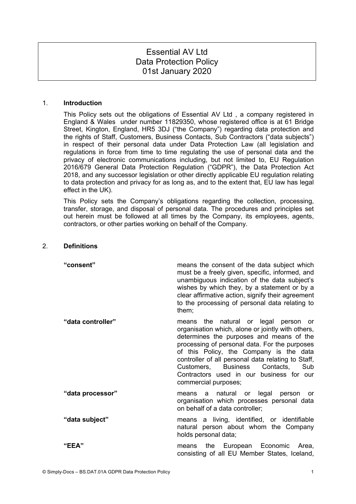# Essential AV Ltd Data Protection Policy 01st January 2020

#### 1. **Introduction**

This Policy sets out the obligations of Essential AV Ltd , a company registered in England & Wales under number 11829350, whose registered office is at 61 Bridge Street, Kington, England, HR5 3DJ ("the Company") regarding data protection and the rights of Staff, Customers, Business Contacts, Sub Contractors ("data subjects") in respect of their personal data under Data Protection Law (all legislation and regulations in force from time to time regulating the use of personal data and the privacy of electronic communications including, but not limited to, EU Regulation 2016/679 General Data Protection Regulation ("GDPR"), the Data Protection Act 2018, and any successor legislation or other directly applicable EU regulation relating to data protection and privacy for as long as, and to the extent that, EU law has legal effect in the UK).

This Policy sets the Company's obligations regarding the collection, processing, transfer, storage, and disposal of personal data. The procedures and principles set out herein must be followed at all times by the Company, its employees, agents, contractors, or other parties working on behalf of the Company.

#### 2. **Definitions**

| "consent"         | means the consent of the data subject which<br>must be a freely given, specific, informed, and<br>unambiguous indication of the data subject's<br>wishes by which they, by a statement or by a<br>clear affirmative action, signify their agreement<br>to the processing of personal data relating to<br>them;                                                                                      |
|-------------------|-----------------------------------------------------------------------------------------------------------------------------------------------------------------------------------------------------------------------------------------------------------------------------------------------------------------------------------------------------------------------------------------------------|
| "data controller" | the natural or legal person or<br>means<br>organisation which, alone or jointly with others,<br>determines the purposes and means of the<br>processing of personal data. For the purposes<br>of this Policy, the Company is the data<br>controller of all personal data relating to Staff,<br>Customers, Business Contacts, Sub<br>Contractors used in our business for our<br>commercial purposes; |
| "data processor"  | means a natural or legal person or<br>organisation which processes personal data<br>on behalf of a data controller;                                                                                                                                                                                                                                                                                 |
| "data subject"    | means a living, identified, or identifiable<br>natural person about whom the Company<br>holds personal data;                                                                                                                                                                                                                                                                                        |
| "EEA"             | means the European Economic Area,<br>consisting of all EU Member States, Iceland,                                                                                                                                                                                                                                                                                                                   |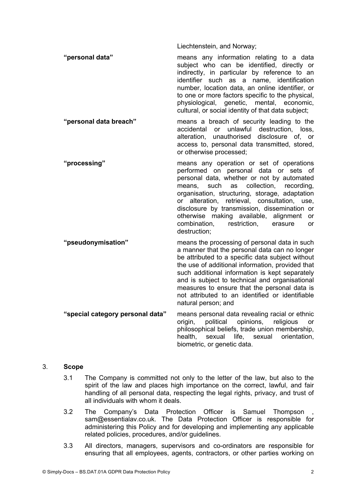Liechtenstein, and Norway;

**"personal data"** means any information relating to a data subject who can be identified, directly or indirectly, in particular by reference to an identifier such as a name, identification number, location data, an online identifier, or to one or more factors specific to the physical, physiological, genetic, mental, economic, cultural, or social identity of that data subject;

- **"personal data breach"** means a breach of security leading to the accidental or unlawful destruction, loss, alteration, unauthorised disclosure of, or access to, personal data transmitted, stored, or otherwise processed;
- **"processing"** means any operation or set of operations performed on personal data or sets of personal data, whether or not by automated means, such as collection, recording, organisation, structuring, storage, adaptation or alteration, retrieval, consultation, use, disclosure by transmission, dissemination or otherwise making available, alignment or combination, restriction, erasure or destruction;
- **"pseudonymisation"** means the processing of personal data in such a manner that the personal data can no longer be attributed to a specific data subject without the use of additional information, provided that such additional information is kept separately and is subject to technical and organisational measures to ensure that the personal data is not attributed to an identified or identifiable natural person; and **"special category personal data"** means personal data revealing racial or ethnic origin, political opinions, religious or philosophical beliefs, trade union membership,

health, sexual life, sexual orientation,

biometric, or genetic data.

## 3. **Scope**

- 3.1 The Company is committed not only to the letter of the law, but also to the spirit of the law and places high importance on the correct, lawful, and fair handling of all personal data, respecting the legal rights, privacy, and trust of all individuals with whom it deals.
- 3.2 The Company's Data Protection Officer is Samuel Thompson , sam@essentialav.co.uk. The Data Protection Officer is responsible for administering this Policy and for developing and implementing any applicable related policies, procedures, and/or guidelines.
- 3.3 All directors, managers, supervisors and co-ordinators are responsible for ensuring that all employees, agents, contractors, or other parties working on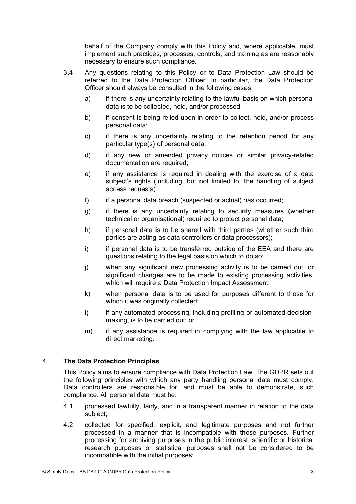behalf of the Company comply with this Policy and, where applicable, must implement such practices, processes, controls, and training as are reasonably necessary to ensure such compliance.

- 3.4 Any questions relating to this Policy or to Data Protection Law should be referred to the Data Protection Officer. In particular, the Data Protection Officer should always be consulted in the following cases:
	- a) if there is any uncertainty relating to the lawful basis on which personal data is to be collected, held, and/or processed;
	- b) if consent is being relied upon in order to collect, hold, and/or process personal data;
	- c) if there is any uncertainty relating to the retention period for any particular type(s) of personal data;
	- d) if any new or amended privacy notices or similar privacy-related documentation are required;
	- e) if any assistance is required in dealing with the exercise of a data subject's rights (including, but not limited to, the handling of subject access requests);
	- f) if a personal data breach (suspected or actual) has occurred;
	- g) if there is any uncertainty relating to security measures (whether technical or organisational) required to protect personal data;
	- h) if personal data is to be shared with third parties (whether such third parties are acting as data controllers or data processors);
	- i) if personal data is to be transferred outside of the EEA and there are questions relating to the legal basis on which to do so;
	- j) when any significant new processing activity is to be carried out, or significant changes are to be made to existing processing activities, which will require a Data Protection Impact Assessment;
	- k) when personal data is to be used for purposes different to those for which it was originally collected;
	- I) if any automated processing, including profiling or automated decisionmaking, is to be carried out; or
	- m) if any assistance is required in complying with the law applicable to direct marketing.

## 4. **The Data Protection Principles**

This Policy aims to ensure compliance with Data Protection Law. The GDPR sets out the following principles with which any party handling personal data must comply. Data controllers are responsible for, and must be able to demonstrate, such compliance. All personal data must be:

- 4.1 processed lawfully, fairly, and in a transparent manner in relation to the data subject;
- 4.2 collected for specified, explicit, and legitimate purposes and not further processed in a manner that is incompatible with those purposes. Further processing for archiving purposes in the public interest, scientific or historical research purposes or statistical purposes shall not be considered to be incompatible with the initial purposes;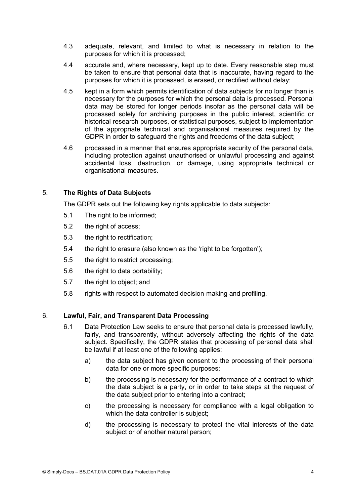- 4.3 adequate, relevant, and limited to what is necessary in relation to the purposes for which it is processed;
- 4.4 accurate and, where necessary, kept up to date. Every reasonable step must be taken to ensure that personal data that is inaccurate, having regard to the purposes for which it is processed, is erased, or rectified without delay;
- 4.5 kept in a form which permits identification of data subjects for no longer than is necessary for the purposes for which the personal data is processed. Personal data may be stored for longer periods insofar as the personal data will be processed solely for archiving purposes in the public interest, scientific or historical research purposes, or statistical purposes, subject to implementation of the appropriate technical and organisational measures required by the GDPR in order to safeguard the rights and freedoms of the data subject;
- 4.6 processed in a manner that ensures appropriate security of the personal data, including protection against unauthorised or unlawful processing and against accidental loss, destruction, or damage, using appropriate technical or organisational measures.

## 5. **The Rights of Data Subjects**

The GDPR sets out the following key rights applicable to data subjects:

- 5.1 The right to be informed;
- 5.2 the right of access;
- 5.3 the right to rectification;
- 5.4 the right to erasure (also known as the 'right to be forgotten');
- 5.5 the right to restrict processing;
- 5.6 the right to data portability;
- 5.7 the right to object; and
- 5.8 rights with respect to automated decision-making and profiling.

#### 6. **Lawful, Fair, and Transparent Data Processing**

- 6.1 Data Protection Law seeks to ensure that personal data is processed lawfully, fairly, and transparently, without adversely affecting the rights of the data subject. Specifically, the GDPR states that processing of personal data shall be lawful if at least one of the following applies:
	- a) the data subject has given consent to the processing of their personal data for one or more specific purposes;
	- b) the processing is necessary for the performance of a contract to which the data subject is a party, or in order to take steps at the request of the data subject prior to entering into a contract;
	- c) the processing is necessary for compliance with a legal obligation to which the data controller is subject:
	- d) the processing is necessary to protect the vital interests of the data subject or of another natural person;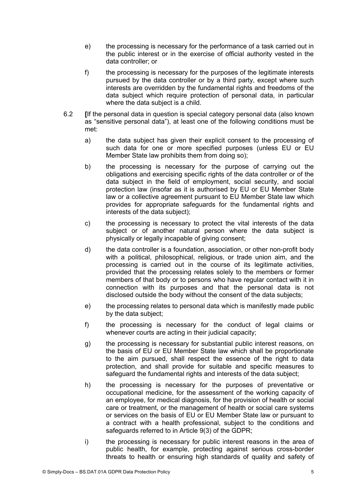- e) the processing is necessary for the performance of a task carried out in the public interest or in the exercise of official authority vested in the data controller; or
- f) the processing is necessary for the purposes of the legitimate interests pursued by the data controller or by a third party, except where such interests are overridden by the fundamental rights and freedoms of the data subject which require protection of personal data, in particular where the data subject is a child.
- 6.2 **[**If the personal data in question is special category personal data (also known as "sensitive personal data"), at least one of the following conditions must be met:
	- a) the data subject has given their explicit consent to the processing of such data for one or more specified purposes (unless EU or EU Member State law prohibits them from doing so);
	- b) the processing is necessary for the purpose of carrying out the obligations and exercising specific rights of the data controller or of the data subject in the field of employment, social security, and social protection law (insofar as it is authorised by EU or EU Member State law or a collective agreement pursuant to EU Member State law which provides for appropriate safeguards for the fundamental rights and interests of the data subject);
	- c) the processing is necessary to protect the vital interests of the data subject or of another natural person where the data subject is physically or legally incapable of giving consent;
	- d) the data controller is a foundation, association, or other non-profit body with a political, philosophical, religious, or trade union aim, and the processing is carried out in the course of its legitimate activities, provided that the processing relates solely to the members or former members of that body or to persons who have regular contact with it in connection with its purposes and that the personal data is not disclosed outside the body without the consent of the data subjects;
	- e) the processing relates to personal data which is manifestly made public by the data subject;
	- f) the processing is necessary for the conduct of legal claims or whenever courts are acting in their judicial capacity:
	- g) the processing is necessary for substantial public interest reasons, on the basis of EU or EU Member State law which shall be proportionate to the aim pursued, shall respect the essence of the right to data protection, and shall provide for suitable and specific measures to safeguard the fundamental rights and interests of the data subject:
	- h) the processing is necessary for the purposes of preventative or occupational medicine, for the assessment of the working capacity of an employee, for medical diagnosis, for the provision of health or social care or treatment, or the management of health or social care systems or services on the basis of EU or EU Member State law or pursuant to a contract with a health professional, subject to the conditions and safeguards referred to in Article 9(3) of the GDPR;
	- i) the processing is necessary for public interest reasons in the area of public health, for example, protecting against serious cross-border threats to health or ensuring high standards of quality and safety of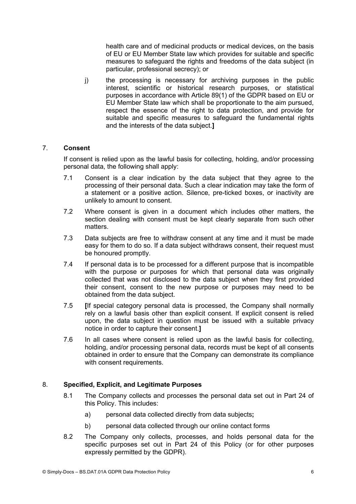health care and of medicinal products or medical devices, on the basis of EU or EU Member State law which provides for suitable and specific measures to safeguard the rights and freedoms of the data subject (in particular, professional secrecy); or

j) the processing is necessary for archiving purposes in the public interest, scientific or historical research purposes, or statistical purposes in accordance with Article 89(1) of the GDPR based on EU or EU Member State law which shall be proportionate to the aim pursued, respect the essence of the right to data protection, and provide for suitable and specific measures to safeguard the fundamental rights and the interests of the data subject.**]**

## 7. **Consent**

If consent is relied upon as the lawful basis for collecting, holding, and/or processing personal data, the following shall apply:

- 7.1 Consent is a clear indication by the data subject that they agree to the processing of their personal data. Such a clear indication may take the form of a statement or a positive action. Silence, pre-ticked boxes, or inactivity are unlikely to amount to consent.
- 7.2 Where consent is given in a document which includes other matters, the section dealing with consent must be kept clearly separate from such other matters.
- 7.3 Data subjects are free to withdraw consent at any time and it must be made easy for them to do so. If a data subject withdraws consent, their request must be honoured promptly.
- 7.4 If personal data is to be processed for a different purpose that is incompatible with the purpose or purposes for which that personal data was originally collected that was not disclosed to the data subject when they first provided their consent, consent to the new purpose or purposes may need to be obtained from the data subject.
- 7.5 **[**If special category personal data is processed, the Company shall normally rely on a lawful basis other than explicit consent. If explicit consent is relied upon, the data subject in question must be issued with a suitable privacy notice in order to capture their consent.**]**
- 7.6 In all cases where consent is relied upon as the lawful basis for collecting, holding, and/or processing personal data, records must be kept of all consents obtained in order to ensure that the Company can demonstrate its compliance with consent requirements.

## 8. **Specified, Explicit, and Legitimate Purposes**

- 8.1 The Company collects and processes the personal data set out in Part 24 of this Policy. This includes:
	- a) personal data collected directly from data subjects**;**
	- b) personal data collected through our online contact forms
- 8.2 The Company only collects, processes, and holds personal data for the specific purposes set out in Part 24 of this Policy (or for other purposes expressly permitted by the GDPR).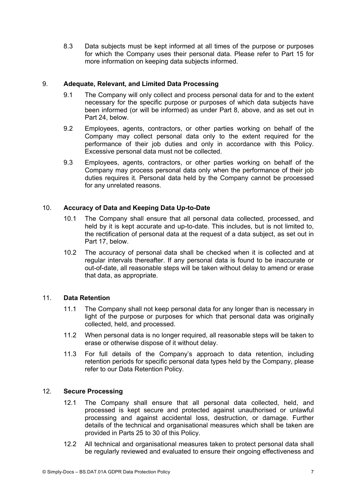8.3 Data subjects must be kept informed at all times of the purpose or purposes for which the Company uses their personal data. Please refer to Part 15 for more information on keeping data subjects informed.

#### 9. **Adequate, Relevant, and Limited Data Processing**

- 9.1 The Company will only collect and process personal data for and to the extent necessary for the specific purpose or purposes of which data subjects have been informed (or will be informed) as under Part 8, above, and as set out in Part 24, below.
- 9.2 Employees, agents, contractors, or other parties working on behalf of the Company may collect personal data only to the extent required for the performance of their job duties and only in accordance with this Policy. Excessive personal data must not be collected.
- 9.3 Employees, agents, contractors, or other parties working on behalf of the Company may process personal data only when the performance of their job duties requires it. Personal data held by the Company cannot be processed for any unrelated reasons.

## 10. **Accuracy of Data and Keeping Data Up-to-Date**

- 10.1 The Company shall ensure that all personal data collected, processed, and held by it is kept accurate and up-to-date. This includes, but is not limited to, the rectification of personal data at the request of a data subject, as set out in Part 17, below.
- 10.2 The accuracy of personal data shall be checked when it is collected and at regular intervals thereafter. If any personal data is found to be inaccurate or out-of-date, all reasonable steps will be taken without delay to amend or erase that data, as appropriate.

## 11. **Data Retention**

- 11.1 The Company shall not keep personal data for any longer than is necessary in light of the purpose or purposes for which that personal data was originally collected, held, and processed.
- 11.2 When personal data is no longer required, all reasonable steps will be taken to erase or otherwise dispose of it without delay.
- 11.3 For full details of the Company's approach to data retention, including retention periods for specific personal data types held by the Company, please refer to our Data Retention Policy.

## 12. **Secure Processing**

- 12.1 The Company shall ensure that all personal data collected, held, and processed is kept secure and protected against unauthorised or unlawful processing and against accidental loss, destruction, or damage. Further details of the technical and organisational measures which shall be taken are provided in Parts 25 to 30 of this Policy.
- 12.2 All technical and organisational measures taken to protect personal data shall be regularly reviewed and evaluated to ensure their ongoing effectiveness and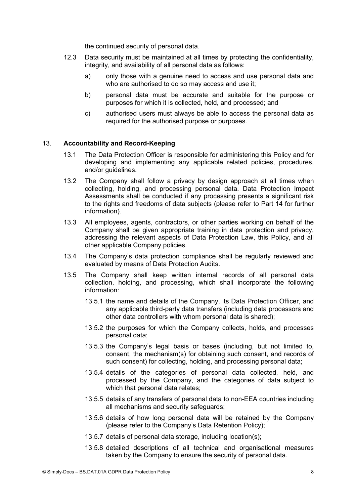the continued security of personal data.

- 12.3 Data security must be maintained at all times by protecting the confidentiality, integrity, and availability of all personal data as follows:
	- a) only those with a genuine need to access and use personal data and who are authorised to do so may access and use it:
	- b) personal data must be accurate and suitable for the purpose or purposes for which it is collected, held, and processed; and
	- c) authorised users must always be able to access the personal data as required for the authorised purpose or purposes.

#### 13. **Accountability and Record-Keeping**

- 13.1 The Data Protection Officer is responsible for administering this Policy and for developing and implementing any applicable related policies, procedures, and/or guidelines.
- 13.2 The Company shall follow a privacy by design approach at all times when collecting, holding, and processing personal data. Data Protection Impact Assessments shall be conducted if any processing presents a significant risk to the rights and freedoms of data subjects (please refer to Part 14 for further information).
- 13.3 All employees, agents, contractors, or other parties working on behalf of the Company shall be given appropriate training in data protection and privacy, addressing the relevant aspects of Data Protection Law, this Policy, and all other applicable Company policies.
- 13.4 The Company's data protection compliance shall be regularly reviewed and evaluated by means of Data Protection Audits.
- 13.5 The Company shall keep written internal records of all personal data collection, holding, and processing, which shall incorporate the following information:
	- 13.5.1 the name and details of the Company, its Data Protection Officer, and any applicable third-party data transfers (including data processors and other data controllers with whom personal data is shared);
	- 13.5.2 the purposes for which the Company collects, holds, and processes personal data;
	- 13.5.3 the Company's legal basis or bases (including, but not limited to, consent, the mechanism(s) for obtaining such consent, and records of such consent) for collecting, holding, and processing personal data;
	- 13.5.4 details of the categories of personal data collected, held, and processed by the Company, and the categories of data subject to which that personal data relates;
	- 13.5.5 details of any transfers of personal data to non-EEA countries including all mechanisms and security safeguards;
	- 13.5.6 details of how long personal data will be retained by the Company (please refer to the Company's Data Retention Policy);
	- 13.5.7 details of personal data storage, including location(s);
	- 13.5.8 detailed descriptions of all technical and organisational measures taken by the Company to ensure the security of personal data.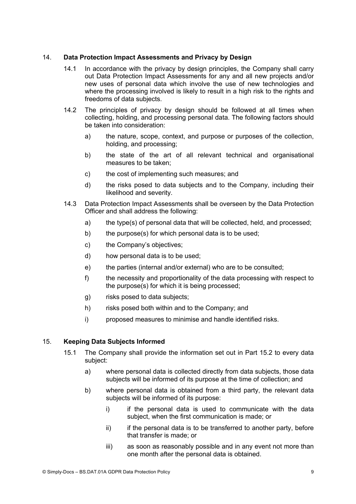## 14. **Data Protection Impact Assessments and Privacy by Design**

- 14.1 In accordance with the privacy by design principles, the Company shall carry out Data Protection Impact Assessments for any and all new projects and/or new uses of personal data which involve the use of new technologies and where the processing involved is likely to result in a high risk to the rights and freedoms of data subjects.
- 14.2 The principles of privacy by design should be followed at all times when collecting, holding, and processing personal data. The following factors should be taken into consideration:
	- a) the nature, scope, context, and purpose or purposes of the collection, holding, and processing;
	- b) the state of the art of all relevant technical and organisational measures to be taken;
	- c) the cost of implementing such measures; and
	- d) the risks posed to data subjects and to the Company, including their likelihood and severity.
- 14.3 Data Protection Impact Assessments shall be overseen by the Data Protection Officer and shall address the following:
	- a) the type(s) of personal data that will be collected, held, and processed;
	- b) the purpose(s) for which personal data is to be used;
	- c) the Company's objectives;
	- d) how personal data is to be used;
	- e) the parties (internal and/or external) who are to be consulted;
	- f) the necessity and proportionality of the data processing with respect to the purpose(s) for which it is being processed;
	- g) risks posed to data subjects;
	- h) risks posed both within and to the Company; and
	- i) proposed measures to minimise and handle identified risks.

# 15. **Keeping Data Subjects Informed**

- 15.1 The Company shall provide the information set out in Part 15.2 to every data subject:
	- a) where personal data is collected directly from data subjects, those data subjects will be informed of its purpose at the time of collection; and
	- b) where personal data is obtained from a third party, the relevant data subjects will be informed of its purpose:
		- i) if the personal data is used to communicate with the data subject, when the first communication is made; or
		- ii) if the personal data is to be transferred to another party, before that transfer is made; or
		- iii) as soon as reasonably possible and in any event not more than one month after the personal data is obtained.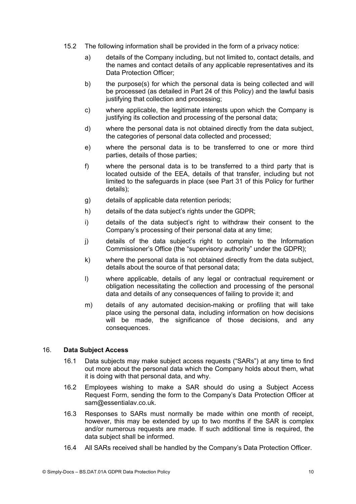- 15.2 The following information shall be provided in the form of a privacy notice:
	- a) details of the Company including, but not limited to, contact details, and the names and contact details of any applicable representatives and its Data Protection Officer;
	- b) the purpose(s) for which the personal data is being collected and will be processed (as detailed in Part 24 of this Policy) and the lawful basis justifying that collection and processing;
	- c) where applicable, the legitimate interests upon which the Company is justifying its collection and processing of the personal data;
	- d) where the personal data is not obtained directly from the data subject, the categories of personal data collected and processed;
	- e) where the personal data is to be transferred to one or more third parties, details of those parties;
	- f) where the personal data is to be transferred to a third party that is located outside of the EEA, details of that transfer, including but not limited to the safeguards in place (see Part 31 of this Policy for further details);
	- g) details of applicable data retention periods;
	- h) details of the data subject's rights under the GDPR;
	- i) details of the data subject's right to withdraw their consent to the Company's processing of their personal data at any time;
	- j) details of the data subject's right to complain to the Information Commissioner's Office (the "supervisory authority" under the GDPR);
	- k) where the personal data is not obtained directly from the data subject, details about the source of that personal data;
	- l) where applicable, details of any legal or contractual requirement or obligation necessitating the collection and processing of the personal data and details of any consequences of failing to provide it; and
	- m) details of any automated decision-making or profiling that will take place using the personal data, including information on how decisions will be made, the significance of those decisions, and any consequences.

## 16. **Data Subject Access**

- 16.1 Data subjects may make subject access requests ("SARs") at any time to find out more about the personal data which the Company holds about them, what it is doing with that personal data, and why.
- 16.2 Employees wishing to make a SAR should do using a Subject Access Request Form, sending the form to the Company's Data Protection Officer at sam@essentialav.co.uk.
- 16.3 Responses to SARs must normally be made within one month of receipt, however, this may be extended by up to two months if the SAR is complex and/or numerous requests are made. If such additional time is required, the data subject shall be informed.
- 16.4 All SARs received shall be handled by the Company's Data Protection Officer.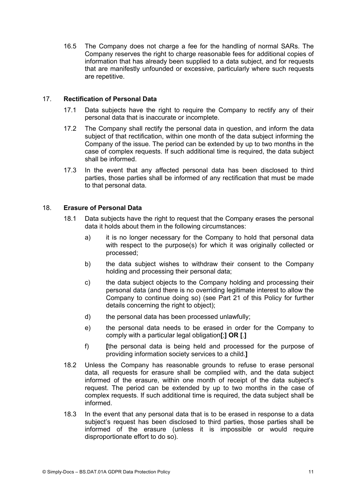16.5 The Company does not charge a fee for the handling of normal SARs. The Company reserves the right to charge reasonable fees for additional copies of information that has already been supplied to a data subject, and for requests that are manifestly unfounded or excessive, particularly where such requests are repetitive.

## 17. **Rectification of Personal Data**

- 17.1 Data subjects have the right to require the Company to rectify any of their personal data that is inaccurate or incomplete.
- 17.2 The Company shall rectify the personal data in question, and inform the data subject of that rectification, within one month of the data subject informing the Company of the issue. The period can be extended by up to two months in the case of complex requests. If such additional time is required, the data subject shall be informed.
- 17.3 In the event that any affected personal data has been disclosed to third parties, those parties shall be informed of any rectification that must be made to that personal data.

## 18. **Erasure of Personal Data**

- 18.1 Data subjects have the right to request that the Company erases the personal data it holds about them in the following circumstances:
	- a) it is no longer necessary for the Company to hold that personal data with respect to the purpose(s) for which it was originally collected or processed;
	- b) the data subject wishes to withdraw their consent to the Company holding and processing their personal data;
	- c) the data subject objects to the Company holding and processing their personal data (and there is no overriding legitimate interest to allow the Company to continue doing so) (see Part 21 of this Policy for further details concerning the right to object);
	- d) the personal data has been processed unlawfully;
	- e) the personal data needs to be erased in order for the Company to comply with a particular legal obligation**[**;**] OR [**.**]**
	- f) **[**the personal data is being held and processed for the purpose of providing information society services to a child.**]**
- 18.2 Unless the Company has reasonable grounds to refuse to erase personal data, all requests for erasure shall be complied with, and the data subject informed of the erasure, within one month of receipt of the data subject's request. The period can be extended by up to two months in the case of complex requests. If such additional time is required, the data subject shall be informed.
- 18.3 In the event that any personal data that is to be erased in response to a data subject's request has been disclosed to third parties, those parties shall be informed of the erasure (unless it is impossible or would require disproportionate effort to do so).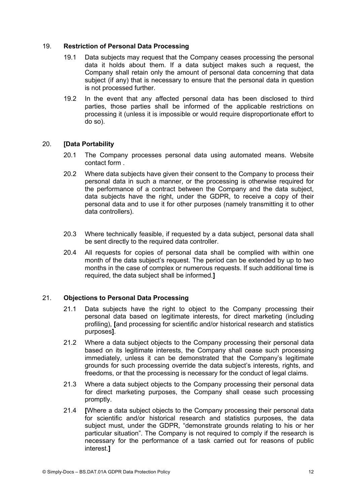#### 19. **Restriction of Personal Data Processing**

- 19.1 Data subjects may request that the Company ceases processing the personal data it holds about them. If a data subject makes such a request, the Company shall retain only the amount of personal data concerning that data subject (if any) that is necessary to ensure that the personal data in question is not processed further.
- 19.2 In the event that any affected personal data has been disclosed to third parties, those parties shall be informed of the applicable restrictions on processing it (unless it is impossible or would require disproportionate effort to do so).

## 20. **[Data Portability**

- 20.1 The Company processes personal data using automated means. Website contact form .
- 20.2 Where data subjects have given their consent to the Company to process their personal data in such a manner, or the processing is otherwise required for the performance of a contract between the Company and the data subject, data subjects have the right, under the GDPR, to receive a copy of their personal data and to use it for other purposes (namely transmitting it to other data controllers).
- 20.3 Where technically feasible, if requested by a data subject, personal data shall be sent directly to the required data controller.
- 20.4 All requests for copies of personal data shall be complied with within one month of the data subject's request. The period can be extended by up to two months in the case of complex or numerous requests. If such additional time is required, the data subject shall be informed.**]**

## 21. **Objections to Personal Data Processing**

- 21.1 Data subjects have the right to object to the Company processing their personal data based on legitimate interests, for direct marketing (including profiling), **[**and processing for scientific and/or historical research and statistics purposes**]**.
- 21.2 Where a data subject objects to the Company processing their personal data based on its legitimate interests, the Company shall cease such processing immediately, unless it can be demonstrated that the Company's legitimate grounds for such processing override the data subject's interests, rights, and freedoms, or that the processing is necessary for the conduct of legal claims.
- 21.3 Where a data subject objects to the Company processing their personal data for direct marketing purposes, the Company shall cease such processing promptly.
- 21.4 **[**Where a data subject objects to the Company processing their personal data for scientific and/or historical research and statistics purposes, the data subject must, under the GDPR, "demonstrate grounds relating to his or her particular situation". The Company is not required to comply if the research is necessary for the performance of a task carried out for reasons of public interest.**]**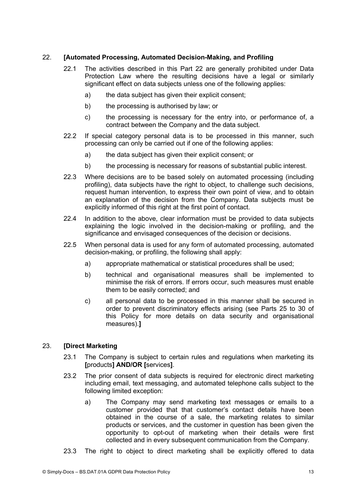## 22. **[Automated Processing, Automated Decision-Making, and Profiling**

- 22.1 The activities described in this Part 22 are generally prohibited under Data Protection Law where the resulting decisions have a legal or similarly significant effect on data subjects unless one of the following applies:
	- a) the data subject has given their explicit consent;
	- b) the processing is authorised by law; or
	- c) the processing is necessary for the entry into, or performance of, a contract between the Company and the data subject.
- 22.2 If special category personal data is to be processed in this manner, such processing can only be carried out if one of the following applies:
	- a) the data subject has given their explicit consent; or
	- b) the processing is necessary for reasons of substantial public interest.
- 22.3 Where decisions are to be based solely on automated processing (including profiling), data subjects have the right to object, to challenge such decisions, request human intervention, to express their own point of view, and to obtain an explanation of the decision from the Company. Data subjects must be explicitly informed of this right at the first point of contact.
- 22.4 In addition to the above, clear information must be provided to data subjects explaining the logic involved in the decision-making or profiling, and the significance and envisaged consequences of the decision or decisions.
- 22.5 When personal data is used for any form of automated processing, automated decision-making, or profiling, the following shall apply:
	- a) appropriate mathematical or statistical procedures shall be used;
	- b) technical and organisational measures shall be implemented to minimise the risk of errors. If errors occur, such measures must enable them to be easily corrected; and
	- c) all personal data to be processed in this manner shall be secured in order to prevent discriminatory effects arising (see Parts 25 to 30 of this Policy for more details on data security and organisational measures).**]**

# 23. **[Direct Marketing**

- 23.1 The Company is subject to certain rules and regulations when marketing its **[**products**] AND/OR [**services**]**.
- 23.2 The prior consent of data subjects is required for electronic direct marketing including email, text messaging, and automated telephone calls subject to the following limited exception:
	- a) The Company may send marketing text messages or emails to a customer provided that that customer's contact details have been obtained in the course of a sale, the marketing relates to similar products or services, and the customer in question has been given the opportunity to opt-out of marketing when their details were first collected and in every subsequent communication from the Company.
- 23.3 The right to object to direct marketing shall be explicitly offered to data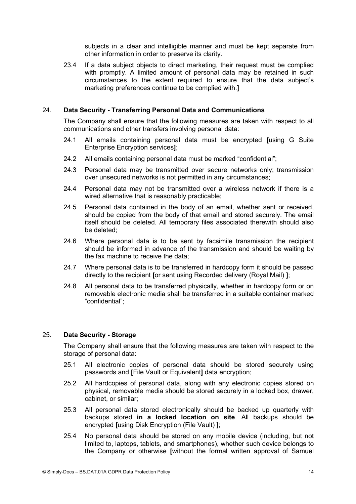subjects in a clear and intelligible manner and must be kept separate from other information in order to preserve its clarity.

23.4 If a data subject objects to direct marketing, their request must be complied with promptly. A limited amount of personal data may be retained in such circumstances to the extent required to ensure that the data subject's marketing preferences continue to be complied with.**]**

## 24. **Data Security - Transferring Personal Data and Communications**

The Company shall ensure that the following measures are taken with respect to all communications and other transfers involving personal data:

- 24.1 All emails containing personal data must be encrypted **[**using G Suite Enterprise Encryption services**]**;
- 24.2 All emails containing personal data must be marked "confidential";
- 24.3 Personal data may be transmitted over secure networks only; transmission over unsecured networks is not permitted in any circumstances;
- 24.4 Personal data may not be transmitted over a wireless network if there is a wired alternative that is reasonably practicable;
- 24.5 Personal data contained in the body of an email, whether sent or received, should be copied from the body of that email and stored securely. The email itself should be deleted. All temporary files associated therewith should also be deleted;
- 24.6 Where personal data is to be sent by facsimile transmission the recipient should be informed in advance of the transmission and should be waiting by the fax machine to receive the data;
- 24.7 Where personal data is to be transferred in hardcopy form it should be passed directly to the recipient **[**or sent using Recorded delivery (Royal Mail) **]**;
- 24.8 All personal data to be transferred physically, whether in hardcopy form or on removable electronic media shall be transferred in a suitable container marked "confidential";

## 25. **Data Security - Storage**

The Company shall ensure that the following measures are taken with respect to the storage of personal data:

- 25.1 All electronic copies of personal data should be stored securely using passwords and **[**File Vault or Equivalent**]** data encryption;
- 25.2 All hardcopies of personal data, along with any electronic copies stored on physical, removable media should be stored securely in a locked box, drawer, cabinet, or similar;
- 25.3 All personal data stored electronically should be backed up quarterly with backups stored **in a locked location on site**. All backups should be encrypted **[**using Disk Encryption (File Vault) **]**;
- 25.4 No personal data should be stored on any mobile device (including, but not limited to, laptops, tablets, and smartphones), whether such device belongs to the Company or otherwise **[**without the formal written approval of Samuel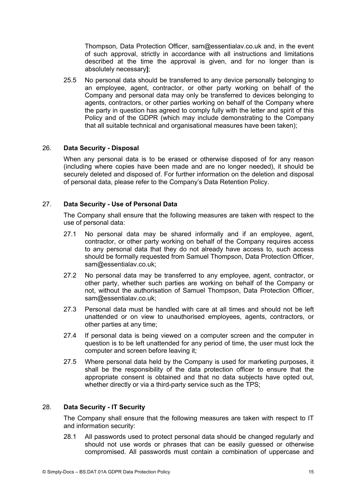Thompson, Data Protection Officer, sam@essentialav.co.uk and, in the event of such approval, strictly in accordance with all instructions and limitations described at the time the approval is given, and for no longer than is absolutely necessary**]**;

25.5 No personal data should be transferred to any device personally belonging to an employee, agent, contractor, or other party working on behalf of the Company and personal data may only be transferred to devices belonging to agents, contractors, or other parties working on behalf of the Company where the party in question has agreed to comply fully with the letter and spirit of this Policy and of the GDPR (which may include demonstrating to the Company that all suitable technical and organisational measures have been taken);

#### 26. **Data Security - Disposal**

When any personal data is to be erased or otherwise disposed of for any reason (including where copies have been made and are no longer needed), it should be securely deleted and disposed of. For further information on the deletion and disposal of personal data, please refer to the Company's Data Retention Policy.

## 27. **Data Security - Use of Personal Data**

The Company shall ensure that the following measures are taken with respect to the use of personal data:

- 27.1 No personal data may be shared informally and if an employee, agent, contractor, or other party working on behalf of the Company requires access to any personal data that they do not already have access to, such access should be formally requested from Samuel Thompson, Data Protection Officer, sam@essentialav.co.uk;
- 27.2 No personal data may be transferred to any employee, agent, contractor, or other party, whether such parties are working on behalf of the Company or not, without the authorisation of Samuel Thompson, Data Protection Officer, sam@essentialav.co.uk;
- 27.3 Personal data must be handled with care at all times and should not be left unattended or on view to unauthorised employees, agents, contractors, or other parties at any time;
- 27.4 If personal data is being viewed on a computer screen and the computer in question is to be left unattended for any period of time, the user must lock the computer and screen before leaving it;
- 27.5 Where personal data held by the Company is used for marketing purposes, it shall be the responsibility of the data protection officer to ensure that the appropriate consent is obtained and that no data subjects have opted out, whether directly or via a third-party service such as the TPS:

#### 28. **Data Security - IT Security**

The Company shall ensure that the following measures are taken with respect to IT and information security:

28.1 All passwords used to protect personal data should be changed regularly and should not use words or phrases that can be easily guessed or otherwise compromised. All passwords must contain a combination of uppercase and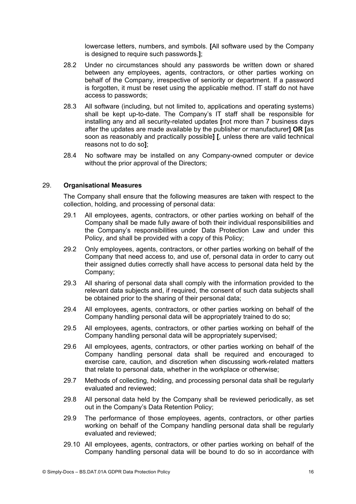lowercase letters, numbers, and symbols. **[**All software used by the Company is designed to require such passwords.**]**;

- 28.2 Under no circumstances should any passwords be written down or shared between any employees, agents, contractors, or other parties working on behalf of the Company, irrespective of seniority or department. If a password is forgotten, it must be reset using the applicable method. IT staff do not have access to passwords;
- 28.3 All software (including, but not limited to, applications and operating systems) shall be kept up-to-date. The Company's IT staff shall be responsible for installing any and all security-related updates **[**not more than 7 business days after the updates are made available by the publisher or manufacturer**] OR [**as soon as reasonably and practically possible**] [**, unless there are valid technical reasons not to do so**]**;
- 28.4 No software may be installed on any Company-owned computer or device without the prior approval of the Directors:

#### 29. **Organisational Measures**

The Company shall ensure that the following measures are taken with respect to the collection, holding, and processing of personal data:

- 29.1 All employees, agents, contractors, or other parties working on behalf of the Company shall be made fully aware of both their individual responsibilities and the Company's responsibilities under Data Protection Law and under this Policy, and shall be provided with a copy of this Policy;
- 29.2 Only employees, agents, contractors, or other parties working on behalf of the Company that need access to, and use of, personal data in order to carry out their assigned duties correctly shall have access to personal data held by the Company;
- 29.3 All sharing of personal data shall comply with the information provided to the relevant data subjects and, if required, the consent of such data subjects shall be obtained prior to the sharing of their personal data;
- 29.4 All employees, agents, contractors, or other parties working on behalf of the Company handling personal data will be appropriately trained to do so;
- 29.5 All employees, agents, contractors, or other parties working on behalf of the Company handling personal data will be appropriately supervised;
- 29.6 All employees, agents, contractors, or other parties working on behalf of the Company handling personal data shall be required and encouraged to exercise care, caution, and discretion when discussing work-related matters that relate to personal data, whether in the workplace or otherwise;
- 29.7 Methods of collecting, holding, and processing personal data shall be regularly evaluated and reviewed;
- 29.8 All personal data held by the Company shall be reviewed periodically, as set out in the Company's Data Retention Policy;
- 29.9 The performance of those employees, agents, contractors, or other parties working on behalf of the Company handling personal data shall be regularly evaluated and reviewed;
- 29.10 All employees, agents, contractors, or other parties working on behalf of the Company handling personal data will be bound to do so in accordance with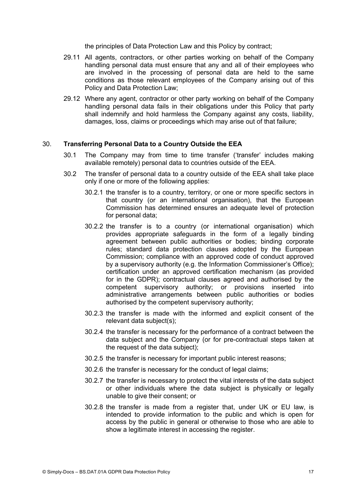the principles of Data Protection Law and this Policy by contract;

- 29.11 All agents, contractors, or other parties working on behalf of the Company handling personal data must ensure that any and all of their employees who are involved in the processing of personal data are held to the same conditions as those relevant employees of the Company arising out of this Policy and Data Protection Law;
- 29.12 Where any agent, contractor or other party working on behalf of the Company handling personal data fails in their obligations under this Policy that party shall indemnify and hold harmless the Company against any costs, liability, damages, loss, claims or proceedings which may arise out of that failure;

#### 30. **Transferring Personal Data to a Country Outside the EEA**

- 30.1 The Company may from time to time transfer ('transfer' includes making available remotely) personal data to countries outside of the EEA.
- 30.2 The transfer of personal data to a country outside of the EEA shall take place only if one or more of the following applies:
	- 30.2.1 the transfer is to a country, territory, or one or more specific sectors in that country (or an international organisation), that the European Commission has determined ensures an adequate level of protection for personal data;
	- 30.2.2 the transfer is to a country (or international organisation) which provides appropriate safeguards in the form of a legally binding agreement between public authorities or bodies; binding corporate rules; standard data protection clauses adopted by the European Commission; compliance with an approved code of conduct approved by a supervisory authority (e.g. the Information Commissioner's Office); certification under an approved certification mechanism (as provided for in the GDPR); contractual clauses agreed and authorised by the competent supervisory authority; or provisions inserted into administrative arrangements between public authorities or bodies authorised by the competent supervisory authority;
	- 30.2.3 the transfer is made with the informed and explicit consent of the relevant data subject(s);
	- 30.2.4 the transfer is necessary for the performance of a contract between the data subject and the Company (or for pre-contractual steps taken at the request of the data subject);
	- 30.2.5 the transfer is necessary for important public interest reasons;
	- 30.2.6 the transfer is necessary for the conduct of legal claims;
	- 30.2.7 the transfer is necessary to protect the vital interests of the data subject or other individuals where the data subject is physically or legally unable to give their consent; or
	- 30.2.8 the transfer is made from a register that, under UK or EU law, is intended to provide information to the public and which is open for access by the public in general or otherwise to those who are able to show a legitimate interest in accessing the register.